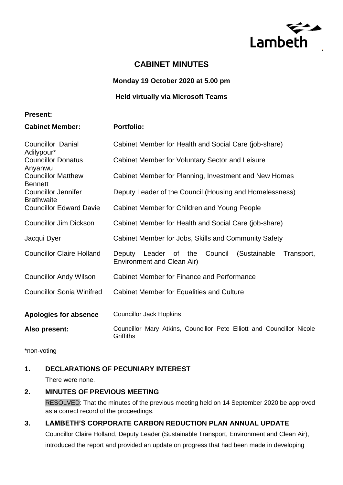

# **CABINET MINUTES**

**Monday 19 October 2020 at 5.00 pm**

**Held virtually via Microsoft Teams** 

### **Present:**

**Cabinet Member: Portfolio:**

| <b>Councillor Danial</b><br>Adilypour*          | Cabinet Member for Health and Social Care (job-share)                                          |
|-------------------------------------------------|------------------------------------------------------------------------------------------------|
| <b>Councillor Donatus</b><br>Anyanwu            | Cabinet Member for Voluntary Sector and Leisure                                                |
| <b>Councillor Matthew</b><br><b>Bennett</b>     | Cabinet Member for Planning, Investment and New Homes                                          |
| <b>Councillor Jennifer</b><br><b>Brathwaite</b> | Deputy Leader of the Council (Housing and Homelessness)                                        |
| <b>Councillor Edward Davie</b>                  | Cabinet Member for Children and Young People                                                   |
| <b>Councillor Jim Dickson</b>                   | Cabinet Member for Health and Social Care (job-share)                                          |
| Jacqui Dyer                                     | Cabinet Member for Jobs, Skills and Community Safety                                           |
| <b>Councillor Claire Holland</b>                | Leader of the<br>Council<br>(Sustainable<br>Transport,<br>Deputy<br>Environment and Clean Air) |
| <b>Councillor Andy Wilson</b>                   | Cabinet Member for Finance and Performance                                                     |
| <b>Councillor Sonia Winifred</b>                | Cabinet Member for Equalities and Culture                                                      |
| <b>Apologies for absence</b>                    | <b>Councillor Jack Hopkins</b>                                                                 |
| Also present:                                   | Councillor Mary Atkins, Councillor Pete Elliott and Councillor Nicole<br>Griffiths             |

\*non-voting

# **1. DECLARATIONS OF PECUNIARY INTEREST**

There were none.

## **2. MINUTES OF PREVIOUS MEETING**

RESOLVED: That the minutes of the previous meeting held on 14 September 2020 be approved as a correct record of the proceedings.

## **3. LAMBETH'S CORPORATE CARBON REDUCTION PLAN ANNUAL UPDATE**

Councillor Claire Holland, Deputy Leader (Sustainable Transport, Environment and Clean Air), introduced the report and provided an update on progress that had been made in developing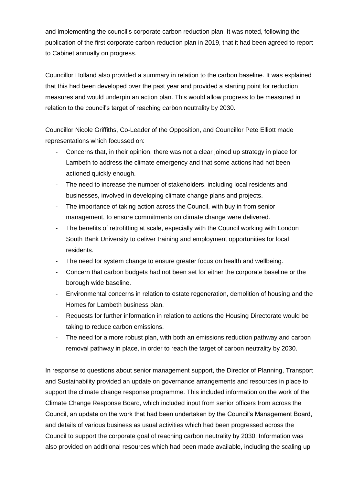and implementing the council's corporate carbon reduction plan. It was noted, following the publication of the first corporate carbon reduction plan in 2019, that it had been agreed to report to Cabinet annually on progress.

Councillor Holland also provided a summary in relation to the carbon baseline. It was explained that this had been developed over the past year and provided a starting point for reduction measures and would underpin an action plan. This would allow progress to be measured in relation to the council's target of reaching carbon neutrality by 2030.

Councillor Nicole Griffiths, Co-Leader of the Opposition, and Councillor Pete Elliott made representations which focussed on:

- Concerns that, in their opinion, there was not a clear joined up strategy in place for Lambeth to address the climate emergency and that some actions had not been actioned quickly enough.
- The need to increase the number of stakeholders, including local residents and businesses, involved in developing climate change plans and projects.
- The importance of taking action across the Council, with buy in from senior management, to ensure commitments on climate change were delivered.
- The benefits of retrofitting at scale, especially with the Council working with London South Bank University to deliver training and employment opportunities for local residents.
- The need for system change to ensure greater focus on health and wellbeing.
- Concern that carbon budgets had not been set for either the corporate baseline or the borough wide baseline.
- Environmental concerns in relation to estate regeneration, demolition of housing and the Homes for Lambeth business plan.
- Requests for further information in relation to actions the Housing Directorate would be taking to reduce carbon emissions.
- The need for a more robust plan, with both an emissions reduction pathway and carbon removal pathway in place, in order to reach the target of carbon neutrality by 2030.

In response to questions about senior management support, the Director of Planning, Transport and Sustainability provided an update on governance arrangements and resources in place to support the climate change response programme. This included information on the work of the Climate Change Response Board, which included input from senior officers from across the Council, an update on the work that had been undertaken by the Council's Management Board, and details of various business as usual activities which had been progressed across the Council to support the corporate goal of reaching carbon neutrality by 2030. Information was also provided on additional resources which had been made available, including the scaling up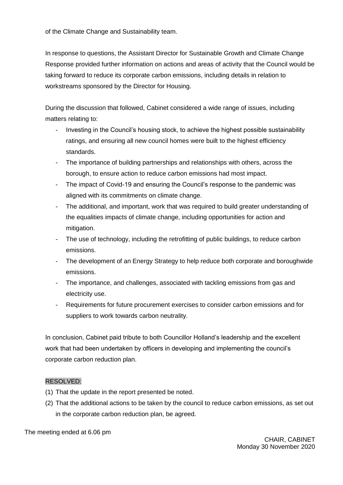of the Climate Change and Sustainability team.

In response to questions, the Assistant Director for Sustainable Growth and Climate Change Response provided further information on actions and areas of activity that the Council would be taking forward to reduce its corporate carbon emissions, including details in relation to workstreams sponsored by the Director for Housing.

During the discussion that followed, Cabinet considered a wide range of issues, including matters relating to:

- Investing in the Council's housing stock, to achieve the highest possible sustainability ratings, and ensuring all new council homes were built to the highest efficiency standards.
- The importance of building partnerships and relationships with others, across the borough, to ensure action to reduce carbon emissions had most impact.
- The impact of Covid-19 and ensuring the Council's response to the pandemic was aligned with its commitments on climate change.
- The additional, and important, work that was required to build greater understanding of the equalities impacts of climate change, including opportunities for action and mitigation.
- The use of technology, including the retrofitting of public buildings, to reduce carbon emissions.
- The development of an Energy Strategy to help reduce both corporate and boroughwide emissions.
- The importance, and challenges, associated with tackling emissions from gas and electricity use.
- Requirements for future procurement exercises to consider carbon emissions and for suppliers to work towards carbon neutrality.

In conclusion, Cabinet paid tribute to both Councillor Holland's leadership and the excellent work that had been undertaken by officers in developing and implementing the council's corporate carbon reduction plan.

#### RESOLVED:

- (1) That the update in the report presented be noted.
- (2) That the additional actions to be taken by the council to reduce carbon emissions, as set out in the corporate carbon reduction plan, be agreed.

The meeting ended at 6.06 pm